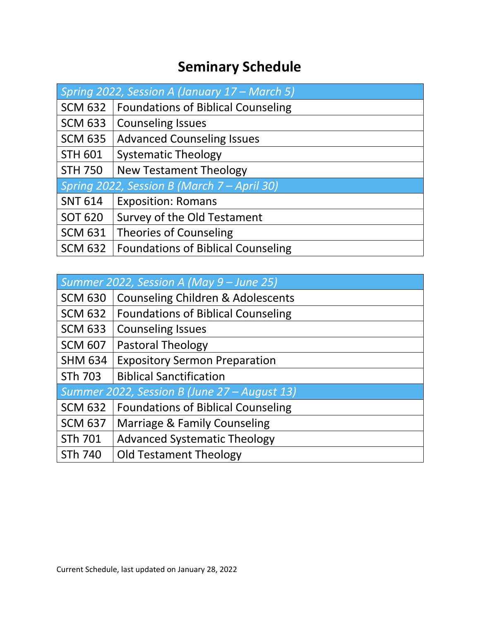## **Seminary Schedule**

| Spring 2022, Session A (January 17 – March 5) |                                           |
|-----------------------------------------------|-------------------------------------------|
| <b>SCM 632</b>                                | <b>Foundations of Biblical Counseling</b> |
| <b>SCM 633</b>                                | <b>Counseling Issues</b>                  |
| <b>SCM 635</b>                                | <b>Advanced Counseling Issues</b>         |
| <b>STH 601</b>                                | <b>Systematic Theology</b>                |
| <b>STH 750</b>                                | <b>New Testament Theology</b>             |
| Spring 2022, Session B (March 7 - April 30)   |                                           |
| <b>SNT 614</b>                                | <b>Exposition: Romans</b>                 |
| <b>SOT 620</b>                                | Survey of the Old Testament               |
| <b>SCM 631</b>                                | <b>Theories of Counseling</b>             |
| <b>SCM 632</b>                                | <b>Foundations of Biblical Counseling</b> |

| Summer 2022, Session A (May 9 – June 25)     |                                              |
|----------------------------------------------|----------------------------------------------|
| <b>SCM 630</b>                               | <b>Counseling Children &amp; Adolescents</b> |
| <b>SCM 632</b>                               | <b>Foundations of Biblical Counseling</b>    |
| <b>SCM 633</b>                               | <b>Counseling Issues</b>                     |
| <b>SCM 607</b>                               | <b>Pastoral Theology</b>                     |
| <b>SHM 634</b>                               | <b>Expository Sermon Preparation</b>         |
| STh 703                                      | <b>Biblical Sanctification</b>               |
| Summer 2022, Session B (June 27 - August 13) |                                              |
| <b>SCM 632</b>                               | <b>Foundations of Biblical Counseling</b>    |
| <b>SCM 637</b>                               | Marriage & Family Counseling                 |
| STh 701                                      | <b>Advanced Systematic Theology</b>          |
| STh 740                                      | <b>Old Testament Theology</b>                |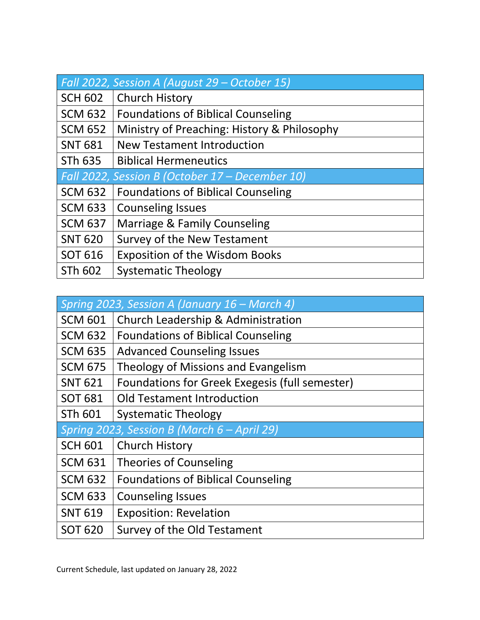| Fall 2022, Session A (August 29 - October 15)   |                                             |
|-------------------------------------------------|---------------------------------------------|
| <b>SCH 602</b>                                  | <b>Church History</b>                       |
| <b>SCM 632</b>                                  | <b>Foundations of Biblical Counseling</b>   |
| <b>SCM 652</b>                                  | Ministry of Preaching: History & Philosophy |
| <b>SNT 681</b>                                  | <b>New Testament Introduction</b>           |
| STh 635                                         | <b>Biblical Hermeneutics</b>                |
| Fall 2022, Session B (October 17 – December 10) |                                             |
| <b>SCM 632</b>                                  | <b>Foundations of Biblical Counseling</b>   |
| <b>SCM 633</b>                                  | <b>Counseling Issues</b>                    |
| <b>SCM 637</b>                                  | Marriage & Family Counseling                |
| <b>SNT 620</b>                                  | <b>Survey of the New Testament</b>          |
| <b>SOT 616</b>                                  | <b>Exposition of the Wisdom Books</b>       |
| STh 602                                         | <b>Systematic Theology</b>                  |

| Spring 2023, Session A (January 16 - March 4) |                                                |
|-----------------------------------------------|------------------------------------------------|
| <b>SCM 601</b>                                | Church Leadership & Administration             |
| <b>SCM 632</b>                                | <b>Foundations of Biblical Counseling</b>      |
| <b>SCM 635</b>                                | <b>Advanced Counseling Issues</b>              |
| <b>SCM 675</b>                                | Theology of Missions and Evangelism            |
| <b>SNT 621</b>                                | Foundations for Greek Exegesis (full semester) |
| <b>SOT 681</b>                                | <b>Old Testament Introduction</b>              |
| STh 601                                       | <b>Systematic Theology</b>                     |
| Spring 2023, Session B (March 6 - April 29)   |                                                |
| <b>SCH 601</b>                                | <b>Church History</b>                          |
| <b>SCM 631</b>                                | <b>Theories of Counseling</b>                  |
| <b>SCM 632</b>                                | <b>Foundations of Biblical Counseling</b>      |
| <b>SCM 633</b>                                | <b>Counseling Issues</b>                       |
| <b>SNT 619</b>                                | <b>Exposition: Revelation</b>                  |
| <b>SOT 620</b>                                | Survey of the Old Testament                    |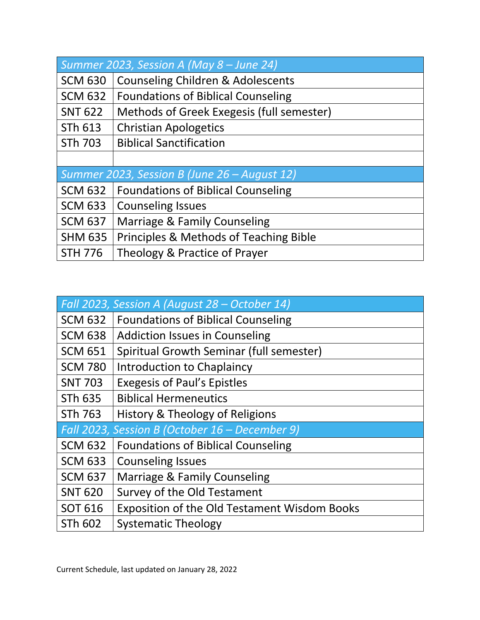| Summer 2023, Session A (May $8 -$ June 24)   |                                              |
|----------------------------------------------|----------------------------------------------|
| <b>SCM 630</b>                               | <b>Counseling Children &amp; Adolescents</b> |
| <b>SCM 632</b>                               | <b>Foundations of Biblical Counseling</b>    |
| <b>SNT 622</b>                               | Methods of Greek Exegesis (full semester)    |
| STh 613                                      | <b>Christian Apologetics</b>                 |
| <b>STh 703</b>                               | <b>Biblical Sanctification</b>               |
|                                              |                                              |
| Summer 2023, Session B (June 26 - August 12) |                                              |
| <b>SCM 632</b>                               | <b>Foundations of Biblical Counseling</b>    |
| <b>SCM 633</b>                               | <b>Counseling Issues</b>                     |
| <b>SCM 637</b>                               | Marriage & Family Counseling                 |
| <b>SHM 635</b>                               | Principles & Methods of Teaching Bible       |
| <b>STH 776</b>                               | Theology & Practice of Prayer                |

|                | Fall 2023, Session A (August 28 – October 14)       |
|----------------|-----------------------------------------------------|
| <b>SCM 632</b> | <b>Foundations of Biblical Counseling</b>           |
| <b>SCM 638</b> | <b>Addiction Issues in Counseling</b>               |
| <b>SCM 651</b> | Spiritual Growth Seminar (full semester)            |
| <b>SCM 780</b> | Introduction to Chaplaincy                          |
| <b>SNT 703</b> | <b>Exegesis of Paul's Epistles</b>                  |
| <b>STh 635</b> | <b>Biblical Hermeneutics</b>                        |
| STh 763        | History & Theology of Religions                     |
|                | Fall 2023, Session B (October 16 – December 9)      |
| <b>SCM 632</b> | <b>Foundations of Biblical Counseling</b>           |
| <b>SCM 633</b> | <b>Counseling Issues</b>                            |
| <b>SCM 637</b> | Marriage & Family Counseling                        |
| <b>SNT 620</b> | Survey of the Old Testament                         |
| <b>SOT 616</b> | <b>Exposition of the Old Testament Wisdom Books</b> |
| STh 602        | <b>Systematic Theology</b>                          |